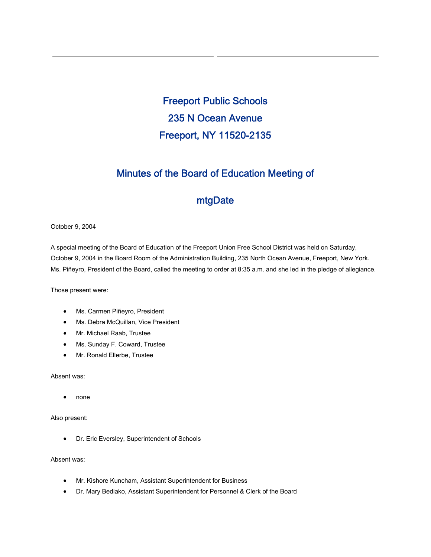Freeport Public Schools 235 N Ocean Avenue Freeport, NY 11520-2135

## Minutes of the Board of Education Meeting of

## mtgDate

October 9, 2004

A special meeting of the Board of Education of the Freeport Union Free School District was held on Saturday, October 9, 2004 in the Board Room of the Administration Building, 235 North Ocean Avenue, Freeport, New York. Ms. Piñeyro, President of the Board, called the meeting to order at 8:35 a.m. and she led in the pledge of allegiance.

Those present were:

- Ms. Carmen Piñeyro, President
- Ms. Debra McQuillan, Vice President
- Mr. Michael Raab, Trustee
- Ms. Sunday F. Coward, Trustee
- Mr. Ronald Ellerbe, Trustee

Absent was:

• none

Also present:

• Dr. Eric Eversley, Superintendent of Schools

Absent was:

- Mr. Kishore Kuncham, Assistant Superintendent for Business
- Dr. Mary Bediako, Assistant Superintendent for Personnel & Clerk of the Board